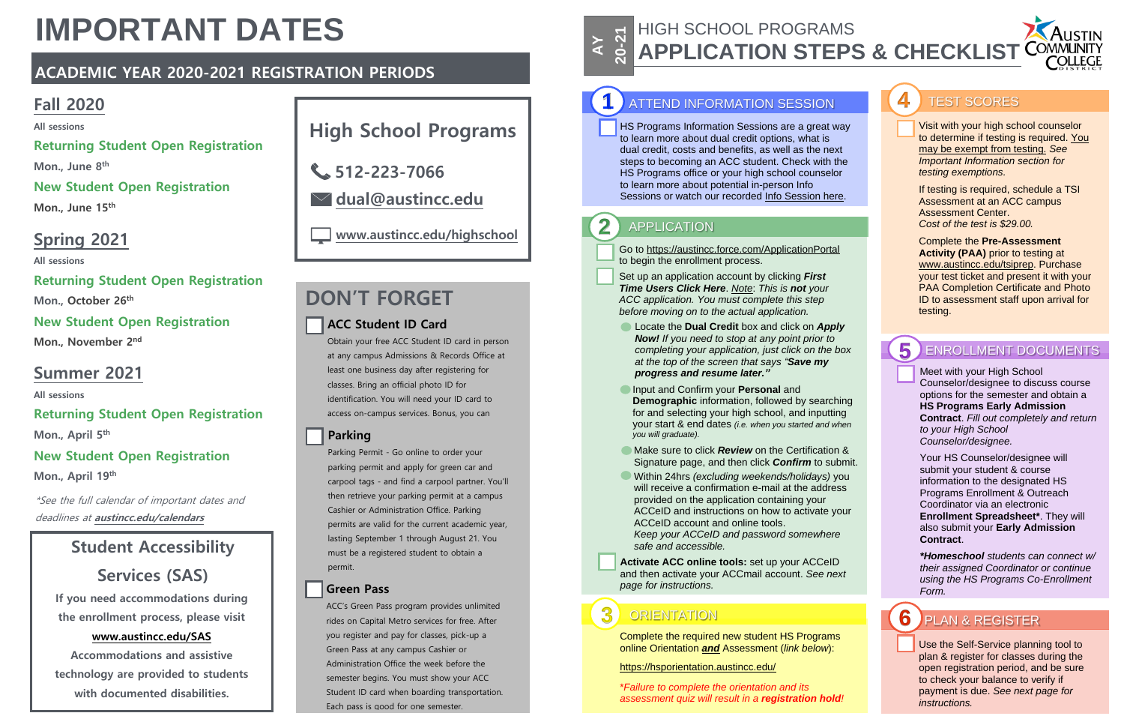#### HIGH SCHOOL PROGRAMS **20 A APPLICATION STEPS & CHECKLIST**

**AY**

## **6** PLAN & REGISTER

## **1** ATTEND INFORMATION SESSION

Go to https://austincc.force.com/ApplicationPortal to begin the enrollment process.

Set up an application account by clicking *First Time Users Click Here*. *Note*: *This is not your ACC application. You must complete this step before moving on to the actual application.*

> Meet with your High School Counselor/designee to discuss course options for the semester and obtain a **HS Programs Early Admission Contract**. *Fill out completely and return to your High School Counselor/designee.*

Your HS Counselor/designee will submit your student & course information to the designated HS Programs Enrollment & Outreach Coordinator via an electronic **Enrollment Spreadsheet\***. They will also submit your **Early Admission Contract**.

*\*Homeschool students can connect w/ their assigned Coordinator or continue using the HS Programs Co-Enrollment Form.*

Visit with your high school counselor to determine if testing is required. You may be exempt from testing. *See Important Information section for testing exemptions.*

If testing is required, schedule a TSI Assessment at an ACC campus Assessment Center. *Cost of the test is \$29.00.*

Complete the **Pre-Assessment Activity (PAA)** prior to testing at www.austincc.edu/tsiprep. Purchase your test ticket and present it with your PAA Completion Certificate and Photo ID to assessment staff upon arrival for testing.

#### **5** ENROLLMENT DOCUMENTS

- Locate the **Dual Credit** box and click on *Apply Now! If you need to stop at any point prior to completing your application, just click on the box at the top of the screen that says "Save my progress and resume later."*
- **Input and Confirm your Personal and Demographic** information, followed by searching for and selecting your high school, and inputting your start & end dates *(i.e. when you started and when you will graduate).*
- **Make sure to click** *Review* on the Certification & Signature page, and then click *Confirm* to submit.
- Within 24hrs *(excluding weekends/holidays)* you will receive a confirmation e-mail at the address provided on the application containing your ACCeID and instructions on how to activate your ACCeID account and online tools. *Keep your ACCeID and password somewhere safe and accessible.*

**Activate ACC online tools:** set up your ACCeID and then activate your ACCmail account. *See next page for instructions.*

> Use the Self-Service planning tool to plan & register for classes during the open registration period, and be sure to check your balance to verify if payment is due. *See next page for instructions.*

HS Programs Information Sessions are a great way to learn more about dual credit options, what is dual credit, costs and benefits, as well as the next steps to becoming an ACC student. Check with the HS Programs office or your high school counselor to learn more about potential in-person Info Sessions or watch our recorded Info Session here.

## 2 **APPLICATION**

# **IMPORTANT DATES**

## **ACADEMIC YEAR 2020-2021 REGISTRATION PERIODS**

## **Fall 2020**

**All sessions**

**Returning Student Open Registration Mon., June 8 th**

## **New Student Open Registration**

**Mon., June 15th**

## **Summer 2021**

**All sessions**

## **Returning Student Open Registration**

**Mon., April 5 th**

## **New Student Open Registration**

**Mon., April 19th**

## **Spring 2021**

**All sessions**

#### **Returning Student Open Registration**

**Mon., October 26th**

## **New Student Open Registration**

**Mon., November** 2<sup>nd</sup>

# **High School Programs**

**www.austincc.edu/highschool**

**dual@austincc.edu**

**512-223-7066**

## **Student Accessibility**

## **Services (SAS)**

**If you need accommodations during the enrollment process, please visit**

#### **www.austincc.edu/SAS**

**Accommodations and assistive technology are provided to students with documented disabilities.**

## **ACC Student ID Card**

Obtain your free ACC Student ID card in person at any campus Admissions & Records Office at least one business day after registering for classes. Bring an official photo ID for identification. You will need your ID card to access on-campus services. Bonus, you can

#### receive student discounts at local businesses. **Parking**

Parking Permit - Go online to order your parking permit and apply for green car and carpool tags - and find a carpool partner. You'll then retrieve your parking permit at a campus Cashier or Administration Office. Parking permits are valid for the current academic year, lasting September 1 through August 21. You must be a registered student to obtain a permit.

## **Green Pass**

ACC's Green Pass program provides unlimited rides on Capital Metro services for free. After you register and pay for classes, pick-up a Green Pass at any campus Cashier or Administration Office the week before the semester begins. You must show your ACC Student ID card when boarding transportation. Each pass is good for one semester.

## **DON'T FORGET**

\*See the full calendar of important dates and deadlines at **austincc.edu/calendars**

## **3** ORIENTATION

Complete the required new student HS Programs online Orientation *and* Assessment (*link below*):

https://hsporientation.austincc.edu/

\**Failure to complete the orientation and its assessment quiz will result in a registration hold!*



#### **4** TEST SCORES